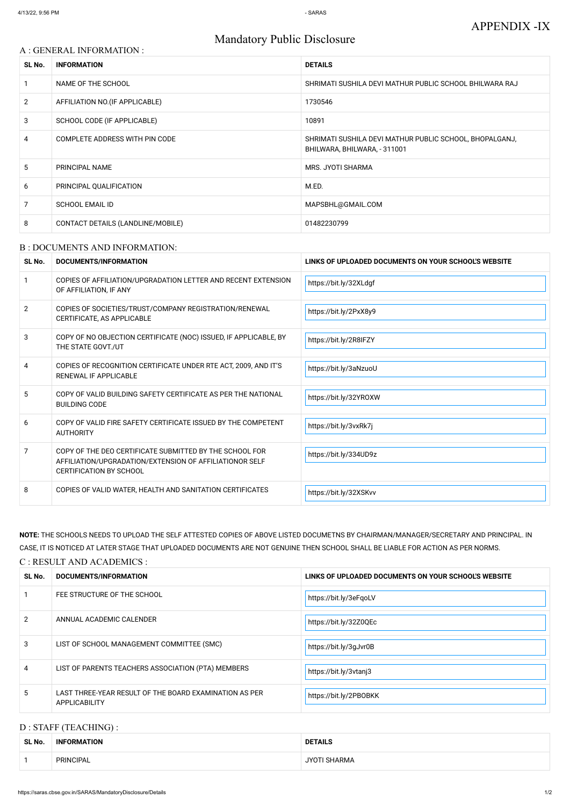# Mandatory Public Disclosure

## A : GENERAL INFORMATION :

| SL No.         | <b>INFORMATION</b>                | <b>DETAILS</b>                                                                          |
|----------------|-----------------------------------|-----------------------------------------------------------------------------------------|
|                | NAME OF THE SCHOOL                | SHRIMATI SUSHILA DEVI MATHUR PUBLIC SCHOOL BHILWARA RAJ                                 |
| $\overline{2}$ | AFFILIATION NO. (IF APPLICABLE)   | 1730546                                                                                 |
| 3              | SCHOOL CODE (IF APPLICABLE)       | 10891                                                                                   |
| 4              | COMPLETE ADDRESS WITH PIN CODE    | SHRIMATI SUSHILA DEVI MATHUR PUBLIC SCHOOL, BHOPALGANJ,<br>BHILWARA, BHILWARA, - 311001 |
| 5.             | <b>PRINCIPAL NAME</b>             | MRS. JYOTI SHARMA                                                                       |
| 6              | PRINCIPAL QUALIFICATION           | M.ED.                                                                                   |
| 7              | <b>SCHOOL EMAIL ID</b>            | MAPSBHL@GMAIL.COM                                                                       |
| 8              | CONTACT DETAILS (LANDLINE/MOBILE) | 01482230799                                                                             |

#### B : DOCUMENTS AND INFORMATION:

| SL No.         | <b>DOCUMENTS/INFORMATION</b>                                                                                                                         | LINKS OF UPLOADED DOCUMENTS ON YOUR SCHOOL'S WEBSITE |
|----------------|------------------------------------------------------------------------------------------------------------------------------------------------------|------------------------------------------------------|
|                | COPIES OF AFFILIATION/UPGRADATION LETTER AND RECENT EXTENSION<br>OF AFFILIATION, IF ANY                                                              | https://bit.ly/32XLdgf                               |
| $\overline{2}$ | COPIES OF SOCIETIES/TRUST/COMPANY REGISTRATION/RENEWAL<br>CERTIFICATE, AS APPLICABLE                                                                 | https://bit.ly/2PxX8y9                               |
| 3              | COPY OF NO OBJECTION CERTIFICATE (NOC) ISSUED, IF APPLICABLE, BY<br>THE STATE GOVT./UT                                                               | https://bit.ly/2R8IFZY                               |
| 4              | COPIES OF RECOGNITION CERTIFICATE UNDER RTE ACT, 2009, AND IT'S<br>RENEWAL IF APPLICABLE                                                             | https://bit.ly/3aNzuoU                               |
| 5              | COPY OF VALID BUILDING SAFETY CERTIFICATE AS PER THE NATIONAL<br><b>BUILDING CODE</b>                                                                | https://bit.ly/32YROXW                               |
| 6              | COPY OF VALID FIRE SAFETY CERTIFICATE ISSUED BY THE COMPETENT<br><b>AUTHORITY</b>                                                                    | https://bit.ly/3vxRk7j                               |
| 7              | COPY OF THE DEO CERTIFICATE SUBMITTED BY THE SCHOOL FOR<br>AFFILIATION/UPGRADATION/EXTENSION OF AFFILIATIONOR SELF<br><b>CERTIFICATION BY SCHOOL</b> | https://bit.ly/334UD9z                               |
| 8              | COPIES OF VALID WATER, HEALTH AND SANITATION CERTIFICATES                                                                                            | https://bit.ly/32XSKvv                               |

**NOTE:** THE SCHOOLS NEEDS TO UPLOAD THE SELF ATTESTED COPIES OF ABOVE LISTED DOCUMETNS BY CHAIRMAN/MANAGER/SECRETARY AND PRINCIPAL. IN CASE, IT IS NOTICED AT LATER STAGE THAT UPLOADED DOCUMENTS ARE NOT GENUINE THEN SCHOOL SHALL BE LIABLE FOR ACTION AS PER NORMS.

### C : RESULT AND ACADEMICS :

| SL No. | DOCUMENTS/INFORMATION       | LINKS OF UPLOADED DOCUMENTS ON YOUR SCHOOL'S WEBSITE |
|--------|-----------------------------|------------------------------------------------------|
|        | FEE STRUCTURE OF THE SCHOOL | https://bit.ly/3eFqoLV                               |

| $\overline{2}$ | ANNUAL ACADEMIC CALENDER                                                | https://bit.ly/32Z0QEc |
|----------------|-------------------------------------------------------------------------|------------------------|
| 3              | LIST OF SCHOOL MANAGEMENT COMMITTEE (SMC)                               | https://bit.ly/3gJvr0B |
| $\overline{4}$ | LIST OF PARENTS TEACHERS ASSOCIATION (PTA) MEMBERS                      | https://bit.ly/3vtanj3 |
| 5              | LAST THREE-YEAR RESULT OF THE BOARD EXAMINATION AS PER<br>APPLICABILITY | https://bit.ly/2PBOBKK |

## D : STAFF (TEACHING) :

| SL No. | <b>INFORMATION</b> | <b>DETAILS</b> |
|--------|--------------------|----------------|
|        | PRINCIPAL          | <b>HARMA</b>   |